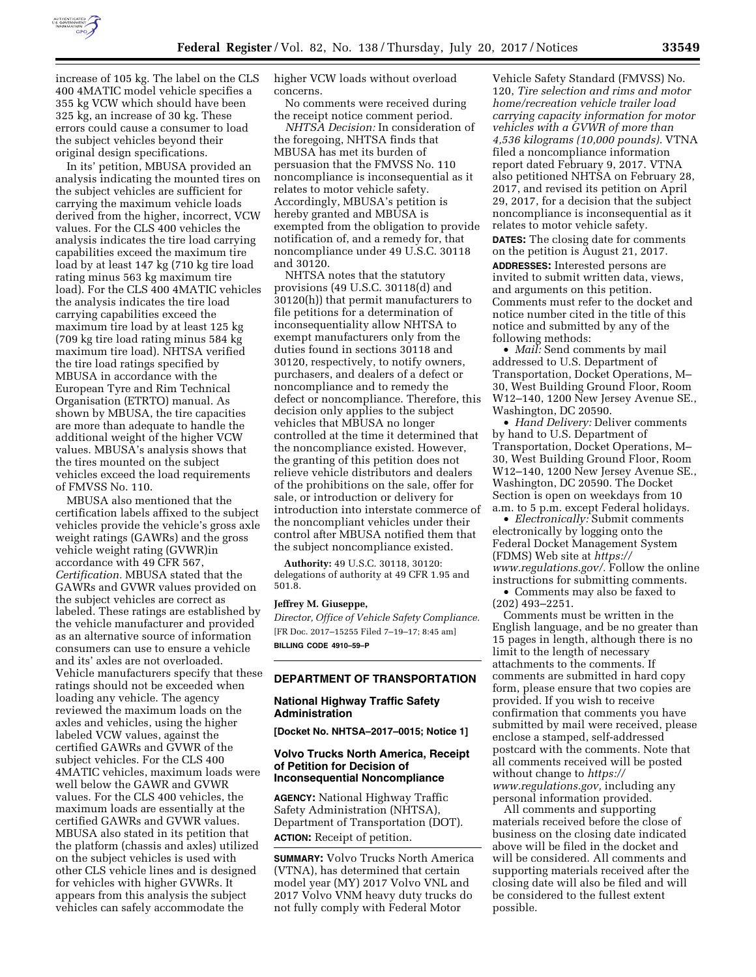

increase of 105 kg. The label on the CLS 400 4MATIC model vehicle specifies a 355 kg VCW which should have been 325 kg, an increase of 30 kg. These errors could cause a consumer to load the subject vehicles beyond their original design specifications.

In its' petition, MBUSA provided an analysis indicating the mounted tires on the subject vehicles are sufficient for carrying the maximum vehicle loads derived from the higher, incorrect, VCW values. For the CLS 400 vehicles the analysis indicates the tire load carrying capabilities exceed the maximum tire load by at least 147 kg (710 kg tire load rating minus 563 kg maximum tire load). For the CLS 400 4MATIC vehicles the analysis indicates the tire load carrying capabilities exceed the maximum tire load by at least 125 kg (709 kg tire load rating minus 584 kg maximum tire load). NHTSA verified the tire load ratings specified by MBUSA in accordance with the European Tyre and Rim Technical Organisation (ETRTO) manual. As shown by MBUSA, the tire capacities are more than adequate to handle the additional weight of the higher VCW values. MBUSA's analysis shows that the tires mounted on the subject vehicles exceed the load requirements of FMVSS No. 110.

MBUSA also mentioned that the certification labels affixed to the subject vehicles provide the vehicle's gross axle weight ratings (GAWRs) and the gross vehicle weight rating (GVWR)in accordance with 49 CFR 567, *Certification.* MBUSA stated that the GAWRs and GVWR values provided on the subject vehicles are correct as labeled. These ratings are established by the vehicle manufacturer and provided as an alternative source of information consumers can use to ensure a vehicle and its' axles are not overloaded. Vehicle manufacturers specify that these ratings should not be exceeded when loading any vehicle. The agency reviewed the maximum loads on the axles and vehicles, using the higher labeled VCW values, against the certified GAWRs and GVWR of the subject vehicles. For the CLS 400 4MATIC vehicles, maximum loads were well below the GAWR and GVWR values. For the CLS 400 vehicles, the maximum loads are essentially at the certified GAWRs and GVWR values. MBUSA also stated in its petition that the platform (chassis and axles) utilized on the subject vehicles is used with other CLS vehicle lines and is designed for vehicles with higher GVWRs. It appears from this analysis the subject vehicles can safely accommodate the

higher VCW loads without overload concerns.

No comments were received during the receipt notice comment period.

*NHTSA Decision:* In consideration of the foregoing, NHTSA finds that MBUSA has met its burden of persuasion that the FMVSS No. 110 noncompliance is inconsequential as it relates to motor vehicle safety. Accordingly, MBUSA's petition is hereby granted and MBUSA is exempted from the obligation to provide notification of, and a remedy for, that noncompliance under 49 U.S.C. 30118 and 30120.

NHTSA notes that the statutory provisions (49 U.S.C. 30118(d) and 30120(h)) that permit manufacturers to file petitions for a determination of inconsequentiality allow NHTSA to exempt manufacturers only from the duties found in sections 30118 and 30120, respectively, to notify owners, purchasers, and dealers of a defect or noncompliance and to remedy the defect or noncompliance. Therefore, this decision only applies to the subject vehicles that MBUSA no longer controlled at the time it determined that the noncompliance existed. However, the granting of this petition does not relieve vehicle distributors and dealers of the prohibitions on the sale, offer for sale, or introduction or delivery for introduction into interstate commerce of the noncompliant vehicles under their control after MBUSA notified them that the subject noncompliance existed.

**Authority:** 49 U.S.C. 30118, 30120: delegations of authority at 49 CFR 1.95 and 501.8.

#### **Jeffrey M. Giuseppe,**

*Director, Office of Vehicle Safety Compliance.*  [FR Doc. 2017–15255 Filed 7–19–17; 8:45 am] **BILLING CODE 4910–59–P** 

# **DEPARTMENT OF TRANSPORTATION**

## **National Highway Traffic Safety Administration**

**[Docket No. NHTSA–2017–0015; Notice 1]** 

## **Volvo Trucks North America, Receipt of Petition for Decision of Inconsequential Noncompliance**

**AGENCY:** National Highway Traffic Safety Administration (NHTSA), Department of Transportation (DOT). **ACTION:** Receipt of petition.

**SUMMARY:** Volvo Trucks North America (VTNA), has determined that certain model year (MY) 2017 Volvo VNL and 2017 Volvo VNM heavy duty trucks do not fully comply with Federal Motor

Vehicle Safety Standard (FMVSS) No. 120, *Tire selection and rims and motor home/recreation vehicle trailer load carrying capacity information for motor vehicles with a GVWR of more than 4,536 kilograms (10,000 pounds).* VTNA filed a noncompliance information report dated February 9, 2017. VTNA also petitioned NHTSA on February 28, 2017, and revised its petition on April 29, 2017, for a decision that the subject noncompliance is inconsequential as it relates to motor vehicle safety. **DATES:** The closing date for comments on the petition is August 21, 2017. **ADDRESSES:** Interested persons are invited to submit written data, views, and arguments on this petition. Comments must refer to the docket and notice number cited in the title of this notice and submitted by any of the following methods:

• *Mail:* Send comments by mail addressed to U.S. Department of Transportation, Docket Operations, M– 30, West Building Ground Floor, Room W12–140, 1200 New Jersey Avenue SE., Washington, DC 20590.

• *Hand Delivery:* Deliver comments by hand to U.S. Department of Transportation, Docket Operations, M– 30, West Building Ground Floor, Room W12–140, 1200 New Jersey Avenue SE., Washington, DC 20590. The Docket Section is open on weekdays from 10 a.m. to 5 p.m. except Federal holidays.

• *Electronically:* Submit comments electronically by logging onto the Federal Docket Management System (FDMS) Web site at *[https://](https://www.regulations.gov/) [www.regulations.gov/.](https://www.regulations.gov/)* Follow the online instructions for submitting comments.

• Comments may also be faxed to (202) 493–2251.

Comments must be written in the English language, and be no greater than 15 pages in length, although there is no limit to the length of necessary attachments to the comments. If comments are submitted in hard copy form, please ensure that two copies are provided. If you wish to receive confirmation that comments you have submitted by mail were received, please enclose a stamped, self-addressed postcard with the comments. Note that all comments received will be posted without change to *[https://](https://www.regulations.gov) [www.regulations.gov,](https://www.regulations.gov)* including any personal information provided.

All comments and supporting materials received before the close of business on the closing date indicated above will be filed in the docket and will be considered. All comments and supporting materials received after the closing date will also be filed and will be considered to the fullest extent possible.